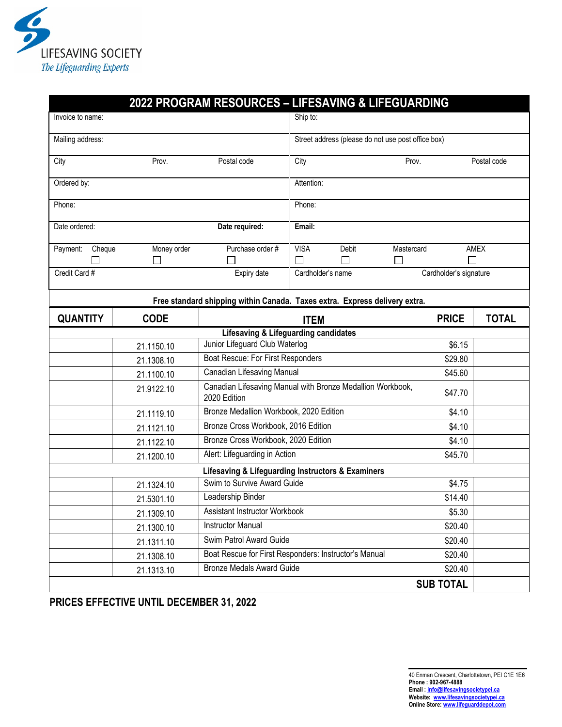

|                    |             | 2022 PROGRAM RESOURCES - LIFESAVING & LIFEGUARDING                         |                                             |                                                    |            |              |              |  |
|--------------------|-------------|----------------------------------------------------------------------------|---------------------------------------------|----------------------------------------------------|------------|--------------|--------------|--|
| Invoice to name:   |             |                                                                            | Ship to:                                    |                                                    |            |              |              |  |
| Mailing address:   |             |                                                                            |                                             | Street address (please do not use post office box) |            |              |              |  |
| City               | Prov.       | Postal code                                                                | City                                        |                                                    | Prov.      |              | Postal code  |  |
| Ordered by:        |             |                                                                            | Attention:                                  |                                                    |            |              |              |  |
| Phone:             |             |                                                                            | Phone:                                      |                                                    |            |              |              |  |
| Date ordered:      |             | Date required:                                                             | Email:                                      |                                                    |            |              |              |  |
| Payment:<br>Cheque | Money order | Purchase order #                                                           | <b>VISA</b>                                 | <b>Debit</b>                                       | Mastercard |              | <b>AMEX</b>  |  |
|                    |             |                                                                            |                                             | $\Box$                                             | H          | П            |              |  |
| Credit Card #      |             | Expiry date                                                                | Cardholder's name<br>Cardholder's signature |                                                    |            |              |              |  |
|                    |             | Free standard shipping within Canada. Taxes extra. Express delivery extra. |                                             |                                                    |            |              |              |  |
| <b>QUANTITY</b>    | <b>CODE</b> |                                                                            | <b>ITEM</b>                                 |                                                    |            | <b>PRICE</b> | <b>TOTAL</b> |  |
|                    |             | <b>Lifesaving &amp; Lifeguarding candidates</b>                            |                                             |                                                    |            |              |              |  |
|                    | 21.1150.10  | Junior Lifeguard Club Waterlog                                             |                                             |                                                    |            | \$6.15       |              |  |
|                    | 21.1308.10  | Boat Rescue: For First Responders                                          |                                             |                                                    | \$29.80    |              |              |  |
|                    | 21.1100.10  | Canadian Lifesaving Manual                                                 |                                             |                                                    |            | \$45.60      |              |  |
|                    | 21.9122.10  | Canadian Lifesaving Manual with Bronze Medallion Workbook,<br>2020 Edition |                                             |                                                    |            | \$47.70      |              |  |
|                    | 21.1119.10  | Bronze Medallion Workbook, 2020 Edition                                    |                                             |                                                    |            | \$4.10       |              |  |
|                    | 21.1121.10  | Bronze Cross Workbook, 2016 Edition                                        |                                             |                                                    | \$4.10     |              |              |  |
|                    | 21.1122.10  | Bronze Cross Workbook, 2020 Edition                                        |                                             |                                                    | \$4.10     |              |              |  |
|                    | 21.1200.10  | Alert: Lifeguarding in Action                                              |                                             |                                                    |            | \$45.70      |              |  |
|                    |             | Lifesaving & Lifeguarding Instructors & Examiners                          |                                             |                                                    |            |              |              |  |
|                    | 21.1324.10  | Swim to Survive Award Guide                                                |                                             |                                                    |            | \$4.75       |              |  |
|                    | 21.5301.10  | Leadership Binder                                                          |                                             |                                                    |            | \$14.40      |              |  |
|                    | 21.1309.10  | Assistant Instructor Workbook                                              |                                             |                                                    |            | \$5.30       |              |  |
|                    | 21.1300.10  | <b>Instructor Manual</b>                                                   |                                             |                                                    |            | \$20.40      |              |  |
|                    | 21.1311.10  | Swim Patrol Award Guide                                                    |                                             |                                                    |            | \$20.40      |              |  |
|                    | 21.1308.10  | Boat Rescue for First Responders: Instructor's Manual                      |                                             |                                                    |            | \$20.40      |              |  |
|                    | 21.1313.10  | <b>Bronze Medals Award Guide</b>                                           |                                             |                                                    |            | \$20.40      |              |  |
| <b>SUB TOTAL</b>   |             |                                                                            |                                             |                                                    |            |              |              |  |

**PRICES EFFECTIVE UNTIL DECEMBER 31, 2022**